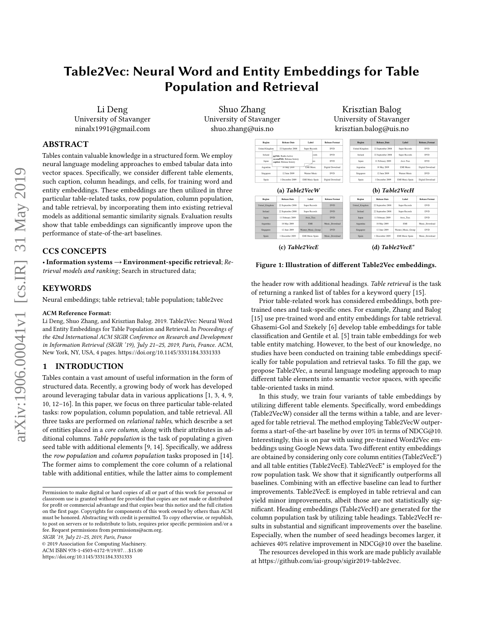# Table2Vec: Neural Word and Entity Embeddings for Table Population and Retrieval

Li Deng University of Stavanger ninalx1991@gmail.com

Shuo Zhang University of Stavanger shuo.zhang@uis.no

## ABSTRACT

Tables contain valuable knowledge in a structured form. We employ neural language modeling approaches to embed tabular data into vector spaces. Specifically, we consider different table elements, such caption, column headings, and cells, for training word and entity embeddings. These embeddings are then utilized in three particular table-related tasks, row population, column population, and table retrieval, by incorporating them into existing retrieval models as additional semantic similarity signals. Evaluation results show that table embeddings can significantly improve upon the performance of state-of-the-art baselines.

#### CCS CONCEPTS

•Information systems→Environment-specific retrieval; Retrieval models and ranking; Search in structured data;

#### **KEYWORDS**

Neural embeddings; table retrieval; table population; table2vec

#### ACM Reference Format:

Li Deng, Shuo Zhang, and Krisztian Balog. 2019. Table2Vec: Neural Word and Entity Embeddings for Table Population and Retrieval. In Proceedings of the 42nd International ACM SIGIR Conference on Research and Development in Information Retrieval (SIGIR '19), July 21-25, 2019, Paris, France. ACM, New York, NY, USA, [4](#page-3-0) pages.<https://doi.org/10.1145/3331184.3331333>

#### 1 INTRODUCTION

Tables contain a vast amount of useful information in the form of structured data. Recently, a growing body of work has developed around leveraging tabular data in various applications [\[1,](#page-3-1) [3,](#page-3-2) [4,](#page-3-3) [9,](#page-3-4) [10,](#page-3-5) [12](#page-3-6)[–16\]](#page-3-7). In this paper, we focus on three particular table-related tasks: row population, column population, and table retrieval. All three tasks are performed on relational tables, which describe a set of entities placed in a core column, along with their attributes in additional columns. Table population is the task of populating a given seed table with additional elements [\[9,](#page-3-4) [14\]](#page-3-8). Specifically, we address the row population and column population tasks proposed in [\[14\]](#page-3-8). The former aims to complement the core column of a relational table with additional entities, while the latter aims to complement

SIGIR '19, July 21–25, 2019, Paris, France

© 2019 Association for Computing Machinery.

ACM ISBN 978-1-4503-6172-9/19/07. . . \$15.00

<https://doi.org/10.1145/3331184.3331333>

| Krisztian Balog         |
|-------------------------|
| University of Stavanger |
| krisztian.balog@uis.no  |

<span id="page-0-0"></span>

| Region         | <b>Release Date</b><br>Label                             |                        | <b>Release Format</b> |  | Region           | <b>Release Date</b> | Label                  | <b>Release Format</b> |
|----------------|----------------------------------------------------------|------------------------|-----------------------|--|------------------|---------------------|------------------------|-----------------------|
| United Kingdom | 22 September 2008                                        | Super Records          | DVD.                  |  | United Kingdom   | 22 September 2008   | Super Records          | <b>DVD</b>            |
| Ireland        | pgTitle: Radio:Active                                    | <b>aneche</b>          | <b>DVD</b>            |  | Indiand          | 22 September 2008   | Super Records          | <b>DVD</b>            |
| Japan          | secondTitle: Release history<br>caption: Release history | rax                    | <b>DVD</b>            |  | Jarcan           | 11 February 2009    | Avex Trax              | <b>DVD</b>            |
| Arrentina      | 18 May 2007                                              | <b>EMI Music</b>       | Digital Download      |  | Arrentina        | 18 May 2009         | <b>EMI Music</b>       | Digital Download      |
| Singapore      | 12 June 2009                                             | Warner Music           | DVD.                  |  | Singapore        | 12 June 2009        | Warner Music           | <b>DVD</b>            |
| Spain          | 1 December 2009                                          | <b>EMI Music Spain</b> | Digital Download      |  | Spain            | 1 December 2009     | <b>EMI Music Spain</b> | Digital Download      |
|                | (a) Table2VecW                                           |                        |                       |  |                  |                     | (b) Table2VecH         |                       |
| Region         | <b>Release Date</b>                                      | Label                  | <b>Release Format</b> |  | Region           | <b>Release Date</b> | Label                  | <b>Release Format</b> |
| United Kingdom | 22 September 2008                                        | Super Records          | <b>DVD</b>            |  | United Kingdom   | 22 September 2008   | Super Records          | <b>DVD</b>            |
| Indiand        | 22 September 2008                                        | Super Records          | <b>DVD</b>            |  | Indiand          | 22 September 2008   | Super Records          | <b>DVD</b>            |
| Japan          | 11 February 2009                                         | Avex Trax              | <b>DVD</b>            |  | Japan            | 11 February 2009    | Avex Trax              | <b>DVD</b>            |
| Areentina      | 18 May 2009                                              | EMI                    | Music Download        |  | Areentina        | 18 May 2009         | EMI                    | Music Download        |
| Singapore      | 12 June 2009                                             | Warner Music Group     | <b>DVD</b>            |  | <b>Singapore</b> | 12 June 2009        | Warner Music Group     | <b>DVD</b>            |
| Snain          | 1 December 2009                                          | <b>FMI Music Spain</b> | Music Download        |  | Smin             | 1 December 2009     | <b>FMI Music Spain</b> | Music Download        |

(c) Table2VecE (d) Table2VecE\*

## Figure 1: Illustration of different Table2Vec embeddings.

the header row with additional headings. Table retrieval is the task of returning a ranked list of tables for a keyword query [\[15\]](#page-3-9).

Prior table-related work has considered embeddings, both pretrained ones and task-specific ones. For example, Zhang and Balog [\[15\]](#page-3-9) use pre-trained word and entity embeddings for table retrieval. Ghasemi-Gol and Szekely [\[6\]](#page-3-10) develop table embeddings for table classification and Gentile et al. [\[5\]](#page-3-11) train table embeddings for web table entity matching. However, to the best of our knowledge, no studies have been conducted on training table embeddings specifically for table population and retrieval tasks. To fill the gap, we propose Table2Vec, a neural language modeling approach to map different table elements into semantic vector spaces, with specific table-oriented tasks in mind.

In this study, we train four variants of table embeddings by utilizing different table elements. Specifically, word embeddings (Table2VecW) consider all the terms within a table, and are leveraged for table retrieval. The method employing Table2VecW outperforms a start-of-the-art baseline by over 10% in terms of NDCG@10. Interestingly, this is on par with using pre-trained Word2Vec embeddings using Google News data. Two different entity embeddings are obtained by considering only core column entities (Table2VecE\*) and all table entities (Table2VecE). Table2VecE\* is employed for the row population task. We show that it significantly outperforms all baselines. Combining with an effective baseline can lead to further improvements. Table2VecE is employed in table retrieval and can yield minor improvements, albeit those are not statistically significant. Heading embeddings (Table2VecH) are generated for the column population task by utilizing table headings. Table2VecH results in substantial and significant improvements over the baseline. Especially, when the number of seed headings becomes larger, it achieves 40% relative improvement in NDCG@10 over the baseline.

The resources developed in this work are made publicly available at [https://github.com/iai-group/sigir2019-table2vec.](https://github.com/iai-group/sigir2019-table2vec)

Permission to make digital or hard copies of all or part of this work for personal or classroom use is granted without fee provided that copies are not made or distributed for profit or commercial advantage and that copies bear this notice and the full citation on the first page. Copyrights for components of this work owned by others than ACM must be honored. Abstracting with credit is permitted. To copy otherwise, or republish, to post on servers or to redistribute to lists, requires prior specific permission and/or a fee. Request permissions from permissions@acm.org.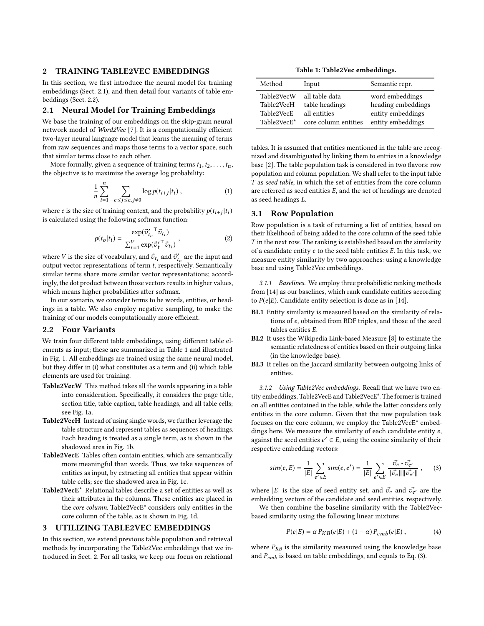#### <span id="page-1-3"></span>2 TRAINING TABLE2VEC EMBEDDINGS

In this section, we first introduce the neural model for training embeddings (Sect. [2.1\)](#page-1-0), and then detail four variants of table embeddings (Sect. [2.2\)](#page-1-1).

#### <span id="page-1-0"></span>2.1 Neural Model for Training Embeddings

We base the training of our embeddings on the skip-gram neural network model of Word2Vec [\[7\]](#page-3-12). It is a computationally efficient two-layer neural language model that learns the meaning of terms from raw sequences and maps those terms to a vector space, such that similar terms close to each other.

More formally, given a sequence of training terms  $t_1, t_2, \ldots, t_n$ , the objective is to maximize the average log probability:

$$
\frac{1}{n}\sum_{i=1}^{n}\sum_{-c\leq j\leq c, j\neq 0} \log p(t_{i+j}|t_i),\tag{1}
$$

where c is the size of training context, and the probability  $p(t_{i+j}|t_i)$ <br>is calculated using the following softmay function: is calculated using the following softmax function:

$$
p(t_o|t_i) = \frac{\exp(\vec{v}_{t_o}^{\prime \top} \vec{v}_{t_i})}{\sum_{t=1}^{V} \exp(\vec{v}_t^{\prime \top} \vec{v}_{t_i})},
$$
 (2)

where *V* is the size of vocabulary, and  $\vec{v}_{t_i}$  and  $\vec{v}'_{t_o}$  are the input and output vector representations of term t respectively. Semantically output vector representations of term t, respectively. Semantically similar terms share more similar vector representations; accordingly, the dot product between those vectors results in higher values, which means higher probabilities after softmax.

In our scenario, we consider terms to be words, entities, or headings in a table. We also employ negative sampling, to make the training of our models computationally more efficient.

#### <span id="page-1-1"></span>2.2 Four Variants

We train four different table embeddings, using different table elements as input; these are summarized in Table [1](#page-1-2) and illustrated in Fig. [1.](#page-0-0) All embeddings are trained using the same neural model, but they differ in (i) what constitutes as a term and (ii) which table elements are used for training.

- Table2VecW This method takes all the words appearing in a table into consideration. Specifically, it considers the page title, section title, table caption, table headings, and all table cells; see Fig. [1a.](#page-0-0)
- Table2VecH Instead of using single words, we further leverage the table structure and represent tables as sequences of headings. Each heading is treated as a single term, as is shown in the shadowed area in Fig. [1b.](#page-0-0)
- Table2VecE Tables often contain entities, which are semantically more meaningful than words. Thus, we take sequences of entities as input, by extracting all entities that appear within table cells; see the shadowed area in Fig. [1c.](#page-0-0)
- Table2VecE\* Relational tables describe a set of entities as well as their attributes in the columns. These entities are placed in the core column. Table2VecE\* considers only entities in the core column of the table, as is shown in Fig. [1d.](#page-0-0)

#### 3 UTILIZING TABLE2VEC EMBEDDINGS

In this section, we extend previous table population and retrieval methods by incorporating the Table2Vec embeddings that we introduced in Sect. [2.](#page-1-3) For all tasks, we keep our focus on relational

Table 1: Table2Vec embeddings.

<span id="page-1-2"></span>

| Method      | Input                | Semantic repr.     |
|-------------|----------------------|--------------------|
| Table2VecW  | all table data       | word embeddings    |
| Table2VecH  | table headings       | heading embeddings |
| Table2VecE  | all entities         | entity embeddings  |
| Table2VecE* | core column entities | entity embeddings  |

tables. It is assumed that entities mentioned in the table are recognized and disambiguated by linking them to entries in a knowledge base [\[2\]](#page-3-13). The table population task is considered in two flavors: row population and column population. We shall refer to the input table T as seed table, in which the set of entities from the core column are referred as seed entities  $E$ , and the set of headings are denoted as seed headings L.

#### 3.1 Row Population

Row population is a task of returning a list of entities, based on their likelihood of being added to the core column of the seed table  $T$  in the next row. The ranking is established based on the similarity of a candidate entity  $e$  to the seed table entities  $E$ . In this task, we measure entity similarity by two approaches: using a knowledge base and using Table2Vec embeddings.

3.1.1 Baselines. We employ three probabilistic ranking methods from [\[14\]](#page-3-8) as our baselines, which rank candidate entities according to  $P(e|E)$ . Candidate entity selection is done as in [\[14\]](#page-3-8).

- BL1 Entity similarity is measured based on the similarity of relations of e, obtained from RDF triples, and those of the seed tables entities E.
- BL2 It uses the Wikipedia Link-based Measure [\[8\]](#page-3-14) to estimate the semantic relatedness of entities based on their outgoing links (in the knowledge base).
- BL3 It relies on the Jaccard similarity between outgoing links of entities.

3.1.2 Using Table2Vec embeddings. Recall that we have two entity embeddings, Table2VecE and Table2VecE\*. The former is trained on all entities contained in the table, while the latter considers only entities in the core column. Given that the row population task focuses on the core column, we employ the Table2VecE\* embeddings here. We measure the similarity of each candidate entity e, against the seed entities  $e' \in E$ , using the cosine similarity of their<br>respective embedding vectors: respective embedding vectors:

<span id="page-1-4"></span>
$$
sim(e, E) = \frac{1}{|E|} \sum_{e' \in E} sim(e, e') = \frac{1}{|E|} \sum_{e' \in E} \frac{\vec{v_{e}} \cdot \vec{v_{e'}}}{\|\vec{v_{e}}\| \|\vec{v_{e'}}\|}, \qquad (3)
$$

where |E| is the size of seed entity set, and  $\vec{v_e}$  and  $\vec{v_{e'}}$  are the embedding vectors of the condidate and seed entities respectively embedding vectors of the candidate and seed entities, respectively.

We then combine the baseline similarity with the Table2Vecbased similarity using the following linear mixture:

<span id="page-1-5"></span>
$$
P(e|E) = \alpha P_{KB}(e|E) + (1 - \alpha) P_{emb}(e|E), \qquad (4)
$$

where  $P_{KB}$  is the similarity measured using the knowledge base and  $P_{emb}$  is based on table embeddings, and equals to Eq. [\(3\)](#page-1-4).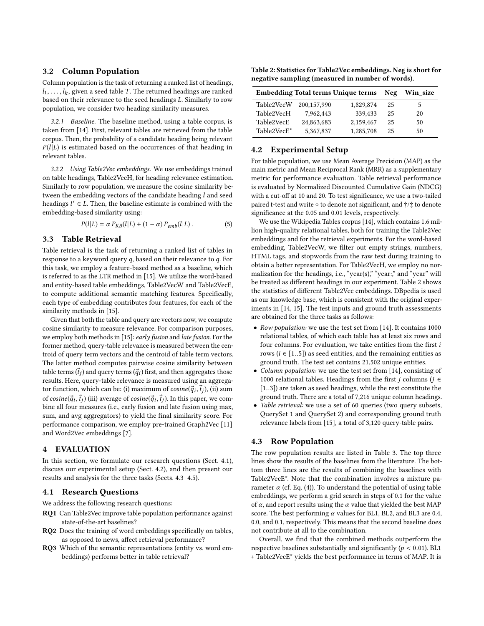#### 3.2 Column Population

Column population is the task of returning a ranked list of headings,  $l_1, \ldots, l_k$ , given a seed table T. The returned headings are ranked<br>based on their relevance to the seed headings I. Similarly to row based on their relevance to the seed headings L. Similarly to row population, we consider two heading similarity measures.

3.2.1 Baseline. The baseline method, using a table corpus, is taken from [\[14\]](#page-3-8). First, relevant tables are retrieved from the table corpus. Then, the probability of a candidate heading being relevant  $P(l|L)$  is estimated based on the occurrences of that heading in relevant tables.

3.2.2 Using Table2Vec embeddings. We use embeddings trained on table headings, Table2VecH, for heading relevance estimation. Similarly to row population, we measure the cosine similarity between the embedding vectors of the candidate heading  $l$  and seed headings  $l' \in L$ . Then, the baseline estimate is combined with the embedding-based similarity using: embedding-based similarity using:

<span id="page-2-4"></span>
$$
P(l|L) = \alpha P_{KB}(l|L) + (1 - \alpha) P_{emb}(l|L) . \qquad (5)
$$

#### 3.3 Table Retrieval

Table retrieval is the task of returning a ranked list of tables in response to a keyword query q, based on their relevance to q. For this task, we employ a feature-based method as a baseline, which is referred to as the LTR method in [\[15\]](#page-3-9). We utilize the word-based and entity-based table embeddings, Table2VecW and Table2VecE, to compute additional semantic matching features. Specifically, each type of embedding contributes four features, for each of the similarity methods in [\[15\]](#page-3-9).

Given that both the table and query are vectors now, we compute cosine similarity to measure relevance. For comparison purposes, we employ both methods in [\[15\]](#page-3-9): early fusion and late fusion. For the former method, query-table relevance is measured between the centroid of query term vectors and the centroid of table term vectors. The latter method computes pairwise cosine similarity between table terms  $(\vec{t}_j)$  and query terms  $(\vec{q}_i)$  first, and then aggregates those<br>results. Here, query-table relevance is measured using an aggregaresults. Here, query-table relevance is measured using an aggregator function, which can be: (i) maximum of  $cosine(\vec{q}_i, \vec{t}_j)$ , (ii) sum<br>of essine( $\vec{a}$ ,  $\vec{t}$ ,), (iii) suggests of essine( $\vec{a}$ ,  $\vec{t}$ ,), In this paper we same of cosine( $\vec{q}_i$ ,  $\vec{t}_j$ ) (iii) average of cosine( $\vec{q}_i$ ,  $\vec{t}_j$ ). In this paper, we com-<br>bine all four measures (i.e., early fusion and late fusion using may bine all four measures (i.e., early fusion and late fusion using max, sum, and avg aggregators) to yield the final similarity score. For performance comparison, we employ pre-trained Graph2Vec [\[11\]](#page-3-15) and Word2Vec embeddings [\[7\]](#page-3-12).

#### 4 EVALUATION

In this section, we formulate our research questions (Sect. [4.1\)](#page-2-0), discuss our experimental setup (Sect. [4.2\)](#page-2-1), and then present our results and analysis for the three tasks (Sects. [4.3](#page-2-2)[–4.5\)](#page-3-16).

### <span id="page-2-0"></span>4.1 Research Questions

We address the following research questions:

- RQ1 Can Table2Vec improve table population performance against state-of-the-art baselines?
- RQ2 Does the training of word embeddings specifically on tables, as opposed to news, affect retrieval performance?
- RQ3 Which of the semantic representations (entity vs. word embeddings) performs better in table retrieval?

<span id="page-2-3"></span>Table 2: Statistics for Table2Vec embeddings. Neg is short for negative sampling (measured in number of words).

| <b>Embedding Total terms Unique terms</b> | Neg         | Win size  |    |    |
|-------------------------------------------|-------------|-----------|----|----|
| Table2VecW                                | 200.157.990 | 1,829,874 | 25 | 5  |
| Table2VecH                                | 7.962.443   | 339.433   | 25 | 20 |
| Table2VecE                                | 24,863,683  | 2.159.467 | 25 | 50 |
| Table2VecE*                               | 5.367.837   | 1.285.708 | 25 | 50 |

#### <span id="page-2-1"></span>4.2 Experimental Setup

For table population, we use Mean Average Precision (MAP) as the main metric and Mean Reciprocal Rank (MRR) as a supplementary metric for performance evaluation. Table retrieval performance is evaluated by Normalized Discounted Cumulative Gain (NDCG) with a cut-off at 10 and 20. To test significance, we use a two-tailed paired t-test and write ◦ to denote not significant, and †/‡ to denote significance at the 0.05 and 0.01 levels, respectively.

We use the Wikipedia Tables corpus [\[14\]](#page-3-8), which contains 1.6 million high-quality relational tables, both for training the Table2Vec embeddings and for the retrieval experiments. For the word-based embedding, Table2VecW, we filter out empty strings, numbers, HTML tags, and stopwords from the raw text during training to obtain a better representation. For Table2VecH, we employ no normalization for the headings, i.e., "year(s)," "year:," and "year" will be treated as different headings in our experiment. Table [2](#page-2-3) shows the statistics of different Table2Vec embeddings. DBpedia is used as our knowledge base, which is consistent with the original experiments in [\[14,](#page-3-8) [15\]](#page-3-9). The test inputs and ground truth assessments are obtained for the three tasks as follows:

- Row population: we use the test set from [\[14\]](#page-3-8). It contains 1000 relational tables, of which each table has at least six rows and four columns. For evaluation, we take entities from the first i rows ( $i \in [1..5]$ ) as seed entities, and the remaining entities as ground truth. The test set contains 21,502 unique entities.
- Column population: we use the test set from [\[14\]](#page-3-8), consisting of 1000 relational tables. Headings from the first *j* columns ( $j \in$ [1..3]) are taken as seed headings, while the rest constitute the ground truth. There are a total of 7,216 unique column headings.
- Table retrieval: we use a set of 60 queries (two query subsets, QuerySet 1 and QuerySet 2) and corresponding ground truth relevance labels from [\[15\]](#page-3-9), a total of 3,120 query-table pairs.

#### <span id="page-2-2"></span>4.3 Row Population

The row population results are listed in Table [3.](#page-3-17) The top three lines show the results of the baselines from the literature. The bottom three lines are the results of combining the baselines with Table2VecE\*. Note that the combination involves a mixture parameter  $\alpha$  (cf. Eq. [\(4\)](#page-1-5)). To understand the potential of using table embeddings, we perform a grid search in steps of 0.1 for the value of  $\alpha$ , and report results using the  $\alpha$  value that yielded the best MAP score. The best performing  $\alpha$  values for BL1, BL2, and BL3 are 0.4, 0.0, and 0.1, respectively. This means that the second baseline does not contribute at all to the combination.

Overall, we find that the combined methods outperform the respective baselines substantially and significantly ( $p < 0.01$ ). BL1 + Table2VecE\* yields the best performance in terms of MAP. It is